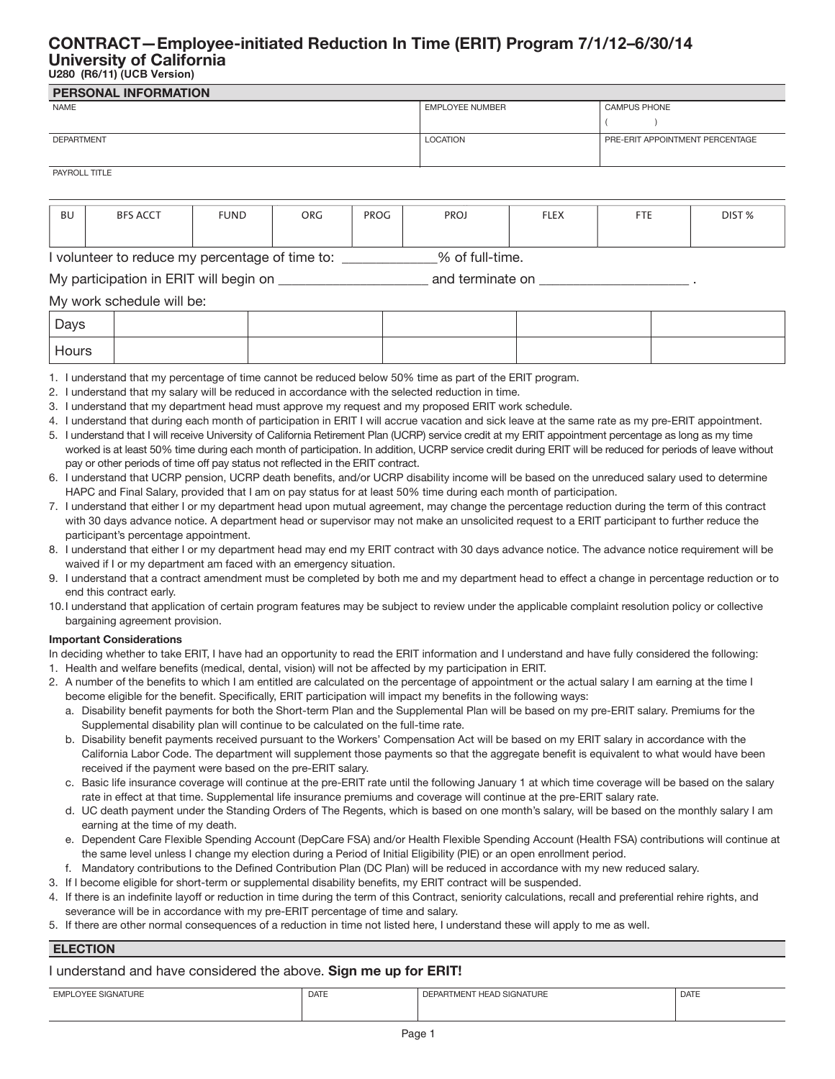## **CONTRACT—Employee-initiated Reduction In Time (ERIT) Program 7/1/12–6/30/14 University of California U280 (R6/11) (UCB Version)**

## **PERSONAL INFORMATION** NAME EMPLOYEE NUMBER CAMPUS PHONE DEPARTMENT LOCATION PRE-ERIT APPOINTMENT PERCENTAGE PAYROLL TITLE ( )

# BU | BFS ACCT | FUND | ORG | PROG | PROJ | FLEX | FTE | DIST %

I volunteer to reduce my percentage of time to: \_\_\_\_\_\_\_\_\_\_\_\_\_\_% of full-time.

My participation in ERIT will begin on the control of the and terminate on  $\mathcal{L}$ 

### My work schedule will be:

| Days  |  |  |  |
|-------|--|--|--|
| Hours |  |  |  |

1. I understand that my percentage of time cannot be reduced below 50% time as part of the ERIT program.

2. I understand that my salary will be reduced in accordance with the selected reduction in time.

3. I understand that my department head must approve my request and my proposed ERIT work schedule.

4. I understand that during each month of participation in ERIT I will accrue vacation and sick leave at the same rate as my pre-ERIT appointment.

- 5. I understand that I will receive University of California Retirement Plan (UCRP) service credit at my ERIT appointment percentage as long as my time worked is at least 50% time during each month of participation. In addition, UCRP service credit during ERIT will be reduced for periods of leave without pay or other periods of time off pay status not reflected in the ERIT contract.
- 6. I understand that UCRP pension, UCRP death benefits, and/or UCRP disability income will be based on the unreduced salary used to determine HAPC and Final Salary, provided that I am on pay status for at least 50% time during each month of participation.
- 7. I understand that either I or my department head upon mutual agreement, may change the percentage reduction during the term of this contract with 30 days advance notice. A department head or supervisor may not make an unsolicited request to a ERIT participant to further reduce the participant's percentage appointment.
- 8. I understand that either I or my department head may end my ERIT contract with 30 days advance notice. The advance notice requirement will be waived if I or my department am faced with an emergency situation.
- 9. I understand that a contract amendment must be completed by both me and my department head to effect a change in percentage reduction or to end this contract early.
- 10.I understand that application of certain program features may be subject to review under the applicable complaint resolution policy or collective bargaining agreement provision.

### **Important Considerations**

In deciding whether to take ERIT, I have had an opportunity to read the ERIT information and I understand and have fully considered the following:

- 1. Health and welfare benefits (medical, dental, vision) will not be affected by my participation in ERIT.
- 2. A number of the benefits to which I am entitled are calculated on the percentage of appointment or the actual salary I am earning at the time I become eligible for the benefit. Specifically, ERIT participation will impact my benefits in the following ways:
	- a. Disability benefit payments for both the Short-term Plan and the Supplemental Plan will be based on my pre-ERIT salary. Premiums for the Supplemental disability plan will continue to be calculated on the full-time rate.
	- b. Disability benefit payments received pursuant to the Workers' Compensation Act will be based on my ERIT salary in accordance with the California Labor Code. The department will supplement those payments so that the aggregate benefit is equivalent to what would have been received if the payment were based on the pre-ERIT salary.
	- c. Basic life insurance coverage will continue at the pre-ERIT rate until the following January 1 at which time coverage will be based on the salary rate in effect at that time. Supplemental life insurance premiums and coverage will continue at the pre-ERIT salary rate.
	- d. UC death payment under the Standing Orders of The Regents, which is based on one month's salary, will be based on the monthly salary I am earning at the time of my death.
	- e. Dependent Care Flexible Spending Account (DepCare FSA) and/or Health Flexible Spending Account (Health FSA) contributions will continue at the same level unless I change my election during a Period of Initial Eligibility (PIE) or an open enrollment period.
	- f. Mandatory contributions to the Defined Contribution Plan (DC Plan) will be reduced in accordance with my new reduced salary.
- 3. If I become eligible for short-term or supplemental disability benefits, my ERIT contract will be suspended.
- 4. If there is an indefinite layoff or reduction in time during the term of this Contract, seniority calculations, recall and preferential rehire rights, and severance will be in accordance with my pre-ERIT percentage of time and salary.
- 5. If there are other normal consequences of a reduction in time not listed here, I understand these will apply to me as well.

## **ELECTION**

## I understand and have considered the above. **Sign me up for ERIT!**

| <b>EMPLOYEE SIGNATURE</b> | <b>DATE</b> | DEPARTMENT HEAD SIGNATURE | <b>DATE</b> |
|---------------------------|-------------|---------------------------|-------------|
|                           |             |                           |             |
|                           |             |                           |             |